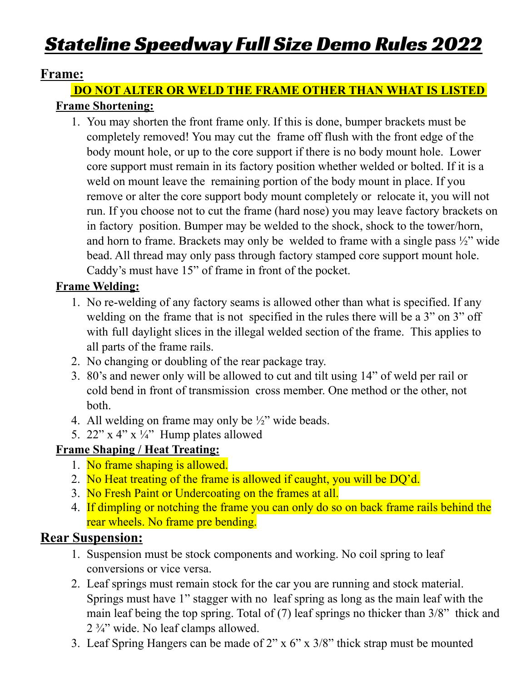# Stateline Speedway Full Size Demo Rules 2022

#### **Frame:**

#### **DO NOT ALTER OR WELD THE FRAME OTHER THAN WHAT IS LISTED Frame Shortening:**

1. You may shorten the front frame only. If this is done, bumper brackets must be completely removed! You may cut the frame off flush with the front edge of the body mount hole, or up to the core support if there is no body mount hole. Lower core support must remain in its factory position whether welded or bolted. If it is a weld on mount leave the remaining portion of the body mount in place. If you remove or alter the core support body mount completely or relocate it, you will not run. If you choose not to cut the frame (hard nose) you may leave factory brackets on in factory position. Bumper may be welded to the shock, shock to the tower/horn, and horn to frame. Brackets may only be welded to frame with a single pass  $\frac{1}{2}$  wide bead. All thread may only pass through factory stamped core support mount hole. Caddy's must have 15" of frame in front of the pocket.

#### **Frame Welding:**

- 1. No re-welding of any factory seams is allowed other than what is specified. If any welding on the frame that is not specified in the rules there will be a 3" on 3" off with full daylight slices in the illegal welded section of the frame. This applies to all parts of the frame rails.
- 2. No changing or doubling of the rear package tray.
- 3. 80's and newer only will be allowed to cut and tilt using 14" of weld per rail or cold bend in front of transmission cross member. One method or the other, not both.
- 4. All welding on frame may only be  $\frac{1}{2}$ " wide beads.
- 5.  $22''$  x 4" x  $\frac{1}{4}$ " Hump plates allowed

## **Frame Shaping / Heat Treating:**

- 1. No frame shaping is allowed.
- 2. No Heat treating of the frame is allowed if caught, you will be DQ'd.
- 3. No Fresh Paint or Undercoating on the frames at all.
- 4. If dimpling or notching the frame you can only do so on back frame rails behind the rear wheels. No frame pre bending.

## **Rear Suspension:**

- 1. Suspension must be stock components and working. No coil spring to leaf conversions or vice versa.
- 2. Leaf springs must remain stock for the car you are running and stock material. Springs must have 1" stagger with no leaf spring as long as the main leaf with the main leaf being the top spring. Total of (7) leaf springs no thicker than 3/8" thick and  $2 \frac{3}{4}$ " wide. No leaf clamps allowed.
- 3. Leaf Spring Hangers can be made of 2" x 6" x 3/8" thick strap must be mounted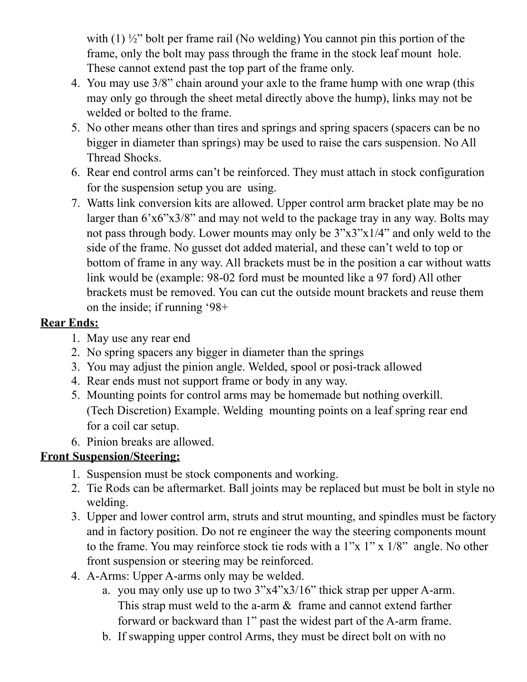with (1)  $\frac{1}{2}$ " bolt per frame rail (No welding) You cannot pin this portion of the frame, only the bolt may pass through the frame in the stock leaf mount hole. These cannot extend past the top part of the frame only.

- 4. You may use 3/8" chain around your axle to the frame hump with one wrap (this may only go through the sheet metal directly above the hump), links may not be welded or bolted to the frame.
- 5. No other means other than tires and springs and spring spacers (spacers can be no bigger in diameter than springs) may be used to raise the cars suspension. No All Thread Shocks.
- 6. Rear end control arms can't be reinforced. They must attach in stock configuration for the suspension setup you are using.
- 7. Watts link conversion kits are allowed. Upper control arm bracket plate may be no larger than 6'x6"x3/8" and may not weld to the package tray in any way. Bolts may not pass through body. Lower mounts may only be 3"x3"x1/4" and only weld to the side of the frame. No gusset dot added material, and these can't weld to top or bottom of frame in any way. All brackets must be in the position a car without watts link would be (example: 98-02 ford must be mounted like a 97 ford) All other brackets must be removed. You can cut the outside mount brackets and reuse them on the inside; if running '98+

#### **Rear Ends:**

- 1. May use any rear end
- 2. No spring spacers any bigger in diameter than the springs
- 3. You may adjust the pinion angle. Welded, spool or posi-track allowed
- 4. Rear ends must not support frame or body in any way.
- 5. Mounting points for control arms may be homemade but nothing overkill. (Tech Discretion) Example. Welding mounting points on a leaf spring rear end for a coil car setup.
- 6. Pinion breaks are allowed.

## **Front Suspension/Steering:**

- 1. Suspension must be stock components and working.
- 2. Tie Rods can be aftermarket. Ball joints may be replaced but must be bolt in style no welding.
- 3. Upper and lower control arm, struts and strut mounting, and spindles must be factory and in factory position. Do not re engineer the way the steering components mount to the frame. You may reinforce stock tie rods with a 1"x 1" x 1/8" angle. No other front suspension or steering may be reinforced.
- 4. A-Arms: Upper A-arms only may be welded.
	- a. you may only use up to two 3"x4"x3/16" thick strap per upper A-arm. This strap must weld to the a-arm  $\&$  frame and cannot extend farther forward or backward than 1" past the widest part of the A-arm frame.
	- b. If swapping upper control Arms, they must be direct bolt on with no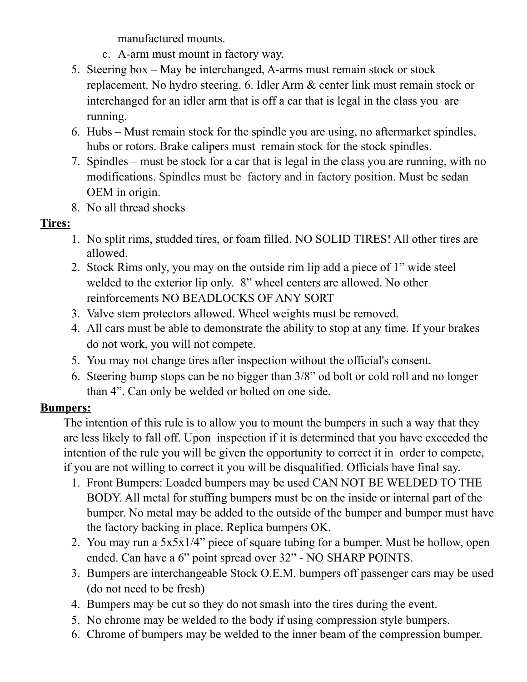manufactured mounts.

- c. A-arm must mount in factory way.
- 5. Steering box May be interchanged, A-arms must remain stock or stock replacement. No hydro steering. 6. Idler Arm & center link must remain stock or interchanged for an idler arm that is off a car that is legal in the class you are running.
- 6. Hubs Must remain stock for the spindle you are using, no aftermarket spindles, hubs or rotors. Brake calipers must remain stock for the stock spindles.
- 7. Spindles must be stock for a car that is legal in the class you are running, with no modifications. Spindles must be factory and in factory position. Must be sedan OEM in origin.
- 8. No all thread shocks

## **Tires:**

- 1. No split rims, studded tires, or foam filled. NO SOLID TIRES! All other tires are allowed.
- 2. Stock Rims only, you may on the outside rim lip add a piece of 1" wide steel welded to the exterior lip only. 8" wheel centers are allowed. No other reinforcements NO BEADLOCKS OF ANY SORT
- 3. Valve stem protectors allowed. Wheel weights must be removed.
- 4. All cars must be able to demonstrate the ability to stop at any time. If your brakes do not work, you will not compete.
- 5. You may not change tires after inspection without the official's consent.
- 6. Steering bump stops can be no bigger than 3/8" od bolt or cold roll and no longer than 4". Can only be welded or bolted on one side.

## **Bumpers:**

The intention of this rule is to allow you to mount the bumpers in such a way that they are less likely to fall off. Upon inspection if it is determined that you have exceeded the intention of the rule you will be given the opportunity to correct it in order to compete, if you are not willing to correct it you will be disqualified. Officials have final say.

- 1. Front Bumpers: Loaded bumpers may be used CAN NOT BE WELDED TO THE BODY. All metal for stuffing bumpers must be on the inside or internal part of the bumper. No metal may be added to the outside of the bumper and bumper must have the factory backing in place. Replica bumpers OK.
- 2. You may run a 5x5x1/4" piece of square tubing for a bumper. Must be hollow, open ended. Can have a 6" point spread over 32" - NO SHARP POINTS.
- 3. Bumpers are interchangeable Stock O.E.M. bumpers off passenger cars may be used (do not need to be fresh)
- 4. Bumpers may be cut so they do not smash into the tires during the event.
- 5. No chrome may be welded to the body if using compression style bumpers.
- 6. Chrome of bumpers may be welded to the inner beam of the compression bumper.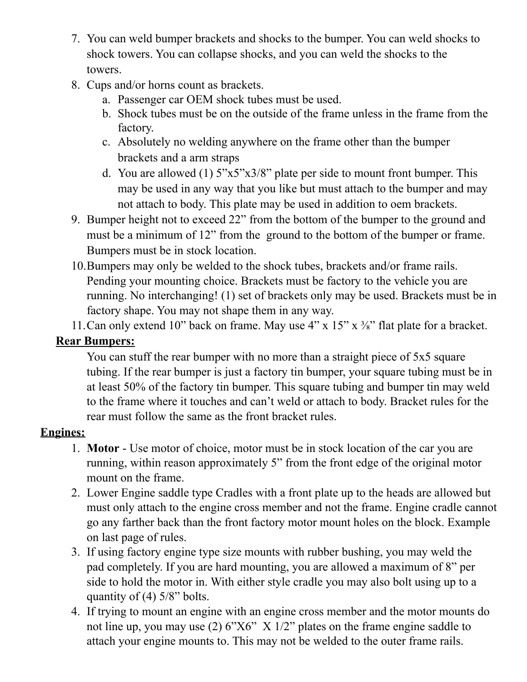- 7. You can weld bumper brackets and shocks to the bumper. You can weld shocks to shock towers. You can collapse shocks, and you can weld the shocks to the towers.
- 8. Cups and/or horns count as brackets.
	- a. Passenger car OEM shock tubes must be used.
	- b. Shock tubes must be on the outside of the frame unless in the frame from the factory.
	- c. Absolutely no welding anywhere on the frame other than the bumper brackets and a arm straps
	- d. You are allowed (1)  $5"x5"x3/8"$  plate per side to mount front bumper. This may be used in any way that you like but must attach to the bumper and may not attach to body. This plate may be used in addition to oem brackets.
- 9. Bumper height not to exceed 22" from the bottom of the bumper to the ground and must be a minimum of 12" from the ground to the bottom of the bumper or frame. Bumpers must be in stock location.
- 10.Bumpers may only be welded to the shock tubes, brackets and/or frame rails. Pending your mounting choice. Brackets must be factory to the vehicle you are running. No interchanging! (1) set of brackets only may be used. Brackets must be in factory shape. You may not shape them in any way.
- 11. Can only extend 10" back on frame. May use  $4$ " x  $15$ " x  $\frac{3}{8}$ " flat plate for a bracket.

## **Rear Bumpers:**

You can stuff the rear bumper with no more than a straight piece of 5x5 square tubing. If the rear bumper is just a factory tin bumper, your square tubing must be in at least 50% of the factory tin bumper. This square tubing and bumper tin may weld to the frame where it touches and can't weld or attach to body. Bracket rules for the rear must follow the same as the front bracket rules.

## **Engines:**

- 1. **Motor** Use motor of choice, motor must be in stock location of the car you are running, within reason approximately 5" from the front edge of the original motor mount on the frame.
- 2. Lower Engine saddle type Cradles with a front plate up to the heads are allowed but must only attach to the engine cross member and not the frame. Engine cradle cannot go any farther back than the front factory motor mount holes on the block. Example on last page of rules.
- 3. If using factory engine type size mounts with rubber bushing, you may weld the pad completely. If you are hard mounting, you are allowed a maximum of 8" per side to hold the motor in. With either style cradle you may also bolt using up to a quantity of  $(4)$  5/8" bolts.
- 4. If trying to mount an engine with an engine cross member and the motor mounts do not line up, you may use (2) 6"X6" X 1/2" plates on the frame engine saddle to attach your engine mounts to. This may not be welded to the outer frame rails.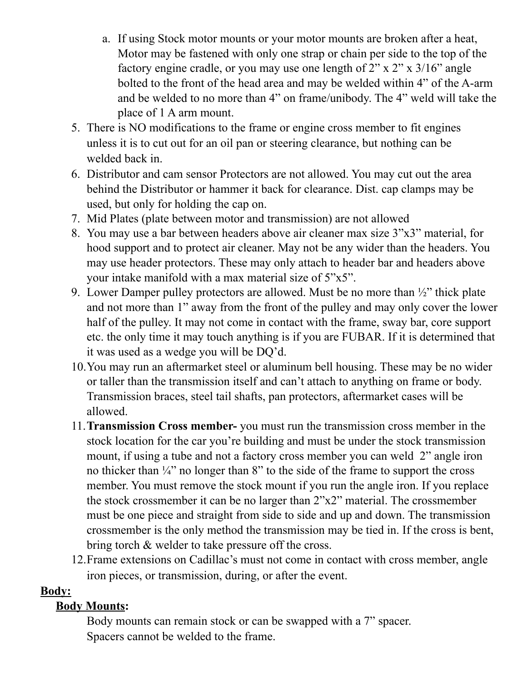- a. If using Stock motor mounts or your motor mounts are broken after a heat, Motor may be fastened with only one strap or chain per side to the top of the factory engine cradle, or you may use one length of 2" x 2" x 3/16" angle bolted to the front of the head area and may be welded within 4" of the A-arm and be welded to no more than 4" on frame/unibody. The 4" weld will take the place of 1 A arm mount.
- 5. There is NO modifications to the frame or engine cross member to fit engines unless it is to cut out for an oil pan or steering clearance, but nothing can be welded back in.
- 6. Distributor and cam sensor Protectors are not allowed. You may cut out the area behind the Distributor or hammer it back for clearance. Dist. cap clamps may be used, but only for holding the cap on.
- 7. Mid Plates (plate between motor and transmission) are not allowed
- 8. You may use a bar between headers above air cleaner max size 3"x3" material, for hood support and to protect air cleaner. May not be any wider than the headers. You may use header protectors. These may only attach to header bar and headers above your intake manifold with a max material size of 5"x5".
- 9. Lower Damper pulley protectors are allowed. Must be no more than ½" thick plate and not more than 1" away from the front of the pulley and may only cover the lower half of the pulley. It may not come in contact with the frame, sway bar, core support etc. the only time it may touch anything is if you are FUBAR. If it is determined that it was used as a wedge you will be DQ'd.
- 10.You may run an aftermarket steel or aluminum bell housing. These may be no wider or taller than the transmission itself and can't attach to anything on frame or body. Transmission braces, steel tail shafts, pan protectors, aftermarket cases will be allowed.
- 11.**Transmission Cross member-** you must run the transmission cross member in the stock location for the car you're building and must be under the stock transmission mount, if using a tube and not a factory cross member you can weld 2" angle iron no thicker than  $\frac{1}{4}$ " no longer than 8" to the side of the frame to support the cross member. You must remove the stock mount if you run the angle iron. If you replace the stock crossmember it can be no larger than 2"x2" material. The crossmember must be one piece and straight from side to side and up and down. The transmission crossmember is the only method the transmission may be tied in. If the cross is bent, bring torch & welder to take pressure off the cross.
- 12.Frame extensions on Cadillac's must not come in contact with cross member, angle iron pieces, or transmission, during, or after the event.

#### **Body:**

## **Body Mounts:**

Body mounts can remain stock or can be swapped with a 7" spacer. Spacers cannot be welded to the frame.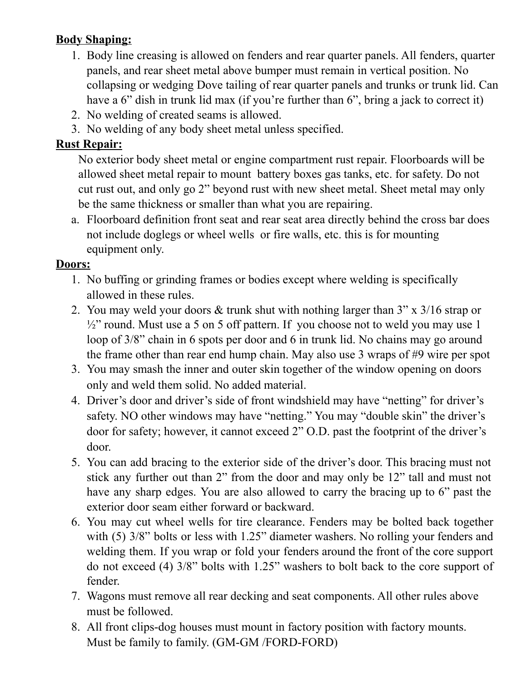## **Body Shaping:**

- 1. Body line creasing is allowed on fenders and rear quarter panels. All fenders, quarter panels, and rear sheet metal above bumper must remain in vertical position. No collapsing or wedging Dove tailing of rear quarter panels and trunks or trunk lid. Can have a 6" dish in trunk lid max (if you're further than 6", bring a jack to correct it)
- 2. No welding of created seams is allowed.
- 3. No welding of any body sheet metal unless specified.

#### **Rust Repair:**

No exterior body sheet metal or engine compartment rust repair. Floorboards will be allowed sheet metal repair to mount battery boxes gas tanks, etc. for safety. Do not cut rust out, and only go 2" beyond rust with new sheet metal. Sheet metal may only be the same thickness or smaller than what you are repairing.

a. Floorboard definition front seat and rear seat area directly behind the cross bar does not include doglegs or wheel wells or fire walls, etc. this is for mounting equipment only.

#### **Doors:**

- 1. No buffing or grinding frames or bodies except where welding is specifically allowed in these rules.
- 2. You may weld your doors & trunk shut with nothing larger than 3" x 3/16 strap or  $\frac{1}{2}$ " round. Must use a 5 on 5 off pattern. If you choose not to weld you may use 1 loop of 3/8" chain in 6 spots per door and 6 in trunk lid. No chains may go around the frame other than rear end hump chain. May also use 3 wraps of #9 wire per spot
- 3. You may smash the inner and outer skin together of the window opening on doors only and weld them solid. No added material.
- 4. Driver's door and driver's side of front windshield may have "netting" for driver's safety. NO other windows may have "netting." You may "double skin" the driver's door for safety; however, it cannot exceed 2" O.D. past the footprint of the driver's door.
- 5. You can add bracing to the exterior side of the driver's door. This bracing must not stick any further out than 2" from the door and may only be 12" tall and must not have any sharp edges. You are also allowed to carry the bracing up to 6" past the exterior door seam either forward or backward.
- 6. You may cut wheel wells for tire clearance. Fenders may be bolted back together with (5)  $3/8$ " bolts or less with 1.25" diameter washers. No rolling your fenders and welding them. If you wrap or fold your fenders around the front of the core support do not exceed (4) 3/8" bolts with 1.25" washers to bolt back to the core support of fender.
- 7. Wagons must remove all rear decking and seat components. All other rules above must be followed.
- 8. All front clips-dog houses must mount in factory position with factory mounts. Must be family to family. (GM-GM /FORD-FORD)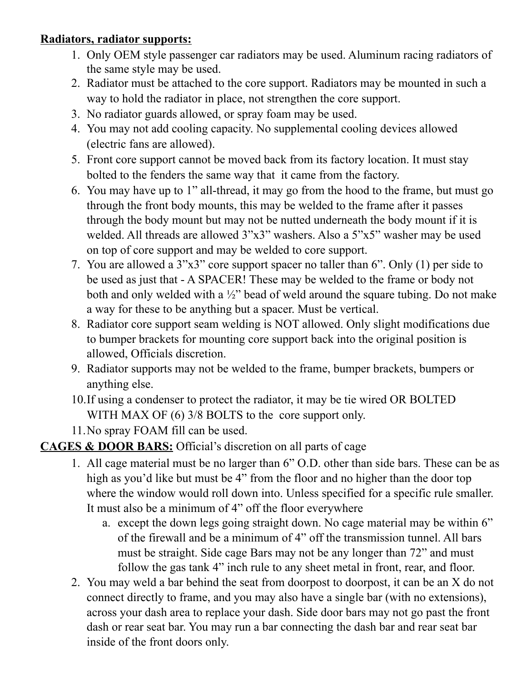## **Radiators, radiator supports:**

- 1. Only OEM style passenger car radiators may be used. Aluminum racing radiators of the same style may be used.
- 2. Radiator must be attached to the core support. Radiators may be mounted in such a way to hold the radiator in place, not strengthen the core support.
- 3. No radiator guards allowed, or spray foam may be used.
- 4. You may not add cooling capacity. No supplemental cooling devices allowed (electric fans are allowed).
- 5. Front core support cannot be moved back from its factory location. It must stay bolted to the fenders the same way that it came from the factory.
- 6. You may have up to 1" all-thread, it may go from the hood to the frame, but must go through the front body mounts, this may be welded to the frame after it passes through the body mount but may not be nutted underneath the body mount if it is welded. All threads are allowed 3"x3" washers. Also a 5"x5" washer may be used on top of core support and may be welded to core support.
- 7. You are allowed a 3"x3" core support spacer no taller than 6". Only (1) per side to be used as just that - A SPACER! These may be welded to the frame or body not both and only welded with a ½" bead of weld around the square tubing. Do not make a way for these to be anything but a spacer. Must be vertical.
- 8. Radiator core support seam welding is NOT allowed. Only slight modifications due to bumper brackets for mounting core support back into the original position is allowed, Officials discretion.
- 9. Radiator supports may not be welded to the frame, bumper brackets, bumpers or anything else.
- 10.If using a condenser to protect the radiator, it may be tie wired OR BOLTED WITH MAX OF (6) 3/8 BOLTS to the core support only.
- 11.No spray FOAM fill can be used.

## **CAGES & DOOR BARS:** Official's discretion on all parts of cage

- 1. All cage material must be no larger than 6" O.D. other than side bars. These can be as high as you'd like but must be 4" from the floor and no higher than the door top where the window would roll down into. Unless specified for a specific rule smaller. It must also be a minimum of 4" off the floor everywhere
	- a. except the down legs going straight down. No cage material may be within 6" of the firewall and be a minimum of 4" off the transmission tunnel. All bars must be straight. Side cage Bars may not be any longer than 72" and must follow the gas tank 4" inch rule to any sheet metal in front, rear, and floor.
- 2. You may weld a bar behind the seat from doorpost to doorpost, it can be an X do not connect directly to frame, and you may also have a single bar (with no extensions), across your dash area to replace your dash. Side door bars may not go past the front dash or rear seat bar. You may run a bar connecting the dash bar and rear seat bar inside of the front doors only.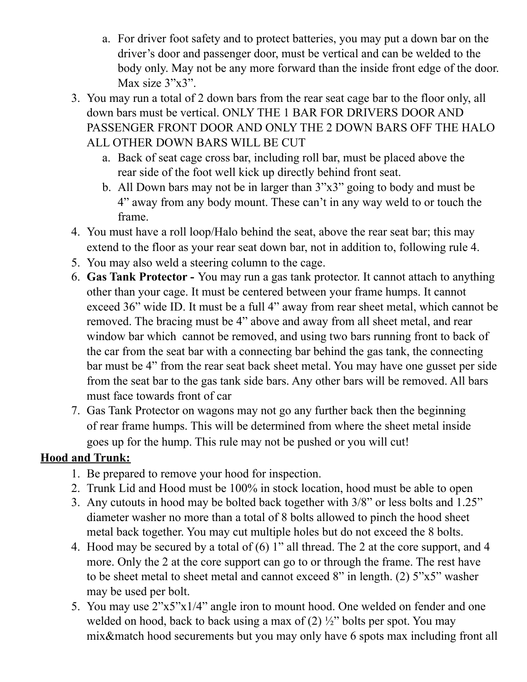- a. For driver foot safety and to protect batteries, you may put a down bar on the driver's door and passenger door, must be vertical and can be welded to the body only. May not be any more forward than the inside front edge of the door. Max size 3"x3".
- 3. You may run a total of 2 down bars from the rear seat cage bar to the floor only, all down bars must be vertical. ONLY THE 1 BAR FOR DRIVERS DOOR AND PASSENGER FRONT DOOR AND ONLY THE 2 DOWN BARS OFF THE HALO ALL OTHER DOWN BARS WILL BE CUT
	- a. Back of seat cage cross bar, including roll bar, must be placed above the rear side of the foot well kick up directly behind front seat.
	- b. All Down bars may not be in larger than 3"x3" going to body and must be 4" away from any body mount. These can't in any way weld to or touch the frame.
- 4. You must have a roll loop/Halo behind the seat, above the rear seat bar; this may extend to the floor as your rear seat down bar, not in addition to, following rule 4.
- 5. You may also weld a steering column to the cage.
- 6. **Gas Tank Protector -** You may run a gas tank protector. It cannot attach to anything other than your cage. It must be centered between your frame humps. It cannot exceed 36" wide ID. It must be a full 4" away from rear sheet metal, which cannot be removed. The bracing must be 4" above and away from all sheet metal, and rear window bar which cannot be removed, and using two bars running front to back of the car from the seat bar with a connecting bar behind the gas tank, the connecting bar must be 4" from the rear seat back sheet metal. You may have one gusset per side from the seat bar to the gas tank side bars. Any other bars will be removed. All bars must face towards front of car
- 7. Gas Tank Protector on wagons may not go any further back then the beginning of rear frame humps. This will be determined from where the sheet metal inside goes up for the hump. This rule may not be pushed or you will cut!

## **Hood and Trunk:**

- 1. Be prepared to remove your hood for inspection.
- 2. Trunk Lid and Hood must be 100% in stock location, hood must be able to open
- 3. Any cutouts in hood may be bolted back together with 3/8" or less bolts and 1.25" diameter washer no more than a total of 8 bolts allowed to pinch the hood sheet metal back together. You may cut multiple holes but do not exceed the 8 bolts.
- 4. Hood may be secured by a total of (6) 1" all thread. The 2 at the core support, and 4 more. Only the 2 at the core support can go to or through the frame. The rest have to be sheet metal to sheet metal and cannot exceed 8" in length. (2) 5"x5" washer may be used per bolt.
- 5. You may use 2"x5"x1/4" angle iron to mount hood. One welded on fender and one welded on hood, back to back using a max of  $(2)$   $\frac{1}{2}$ " bolts per spot. You may mix&match hood securements but you may only have 6 spots max including front all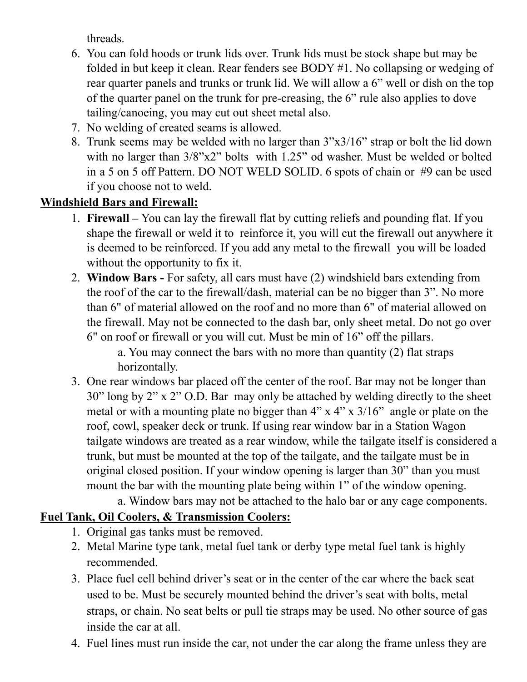threads.

- 6. You can fold hoods or trunk lids over. Trunk lids must be stock shape but may be folded in but keep it clean. Rear fenders see BODY #1. No collapsing or wedging of rear quarter panels and trunks or trunk lid. We will allow a 6" well or dish on the top of the quarter panel on the trunk for pre-creasing, the 6" rule also applies to dove tailing/canoeing, you may cut out sheet metal also.
- 7. No welding of created seams is allowed.
- 8. Trunk seems may be welded with no larger than 3"x3/16" strap or bolt the lid down with no larger than  $3/8$ "x2" bolts with 1.25" od washer. Must be welded or bolted in a 5 on 5 off Pattern. DO NOT WELD SOLID. 6 spots of chain or #9 can be used if you choose not to weld.

## **Windshield Bars and Firewall:**

- 1. **Firewall –** You can lay the firewall flat by cutting reliefs and pounding flat. If you shape the firewall or weld it to reinforce it, you will cut the firewall out anywhere it is deemed to be reinforced. If you add any metal to the firewall you will be loaded without the opportunity to fix it.
- 2. **Window Bars -** For safety, all cars must have (2) windshield bars extending from the roof of the car to the firewall/dash, material can be no bigger than 3". No more than 6" of material allowed on the roof and no more than 6" of material allowed on the firewall. May not be connected to the dash bar, only sheet metal. Do not go over 6" on roof or firewall or you will cut. Must be min of 16" off the pillars.

a. You may connect the bars with no more than quantity (2) flat straps horizontally.

3. One rear windows bar placed off the center of the roof. Bar may not be longer than 30" long by 2" x 2" O.D. Bar may only be attached by welding directly to the sheet metal or with a mounting plate no bigger than 4" x 4" x 3/16" angle or plate on the roof, cowl, speaker deck or trunk. If using rear window bar in a Station Wagon tailgate windows are treated as a rear window, while the tailgate itself is considered a trunk, but must be mounted at the top of the tailgate, and the tailgate must be in original closed position. If your window opening is larger than 30" than you must mount the bar with the mounting plate being within 1" of the window opening.

a. Window bars may not be attached to the halo bar or any cage components.

## **Fuel Tank, Oil Coolers, & Transmission Coolers:**

- 1. Original gas tanks must be removed.
- 2. Metal Marine type tank, metal fuel tank or derby type metal fuel tank is highly recommended.
- 3. Place fuel cell behind driver's seat or in the center of the car where the back seat used to be. Must be securely mounted behind the driver's seat with bolts, metal straps, or chain. No seat belts or pull tie straps may be used. No other source of gas inside the car at all.
- 4. Fuel lines must run inside the car, not under the car along the frame unless they are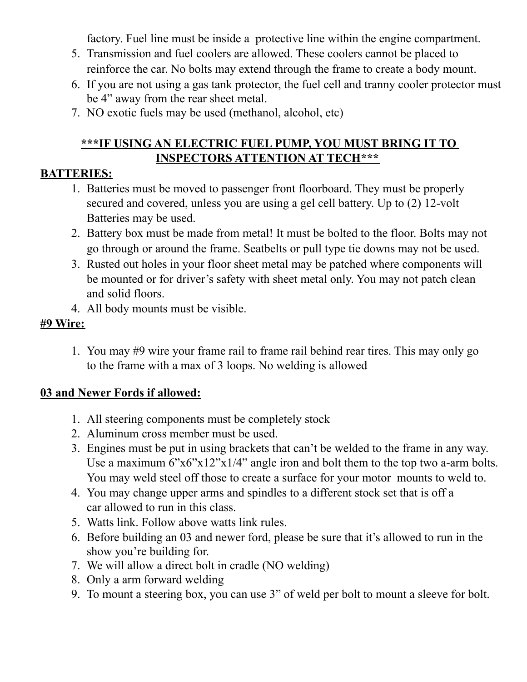factory. Fuel line must be inside a protective line within the engine compartment.

- 5. Transmission and fuel coolers are allowed. These coolers cannot be placed to reinforce the car. No bolts may extend through the frame to create a body mount.
- 6. If you are not using a gas tank protector, the fuel cell and tranny cooler protector must be 4" away from the rear sheet metal.
- 7. NO exotic fuels may be used (methanol, alcohol, etc)

## **\*\*\*IF USING AN ELECTRIC FUEL PUMP, YOU MUST BRING IT TO INSPECTORS ATTENTION AT TECH\*\*\***

## **BATTERIES:**

- 1. Batteries must be moved to passenger front floorboard. They must be properly secured and covered, unless you are using a gel cell battery. Up to (2) 12-volt Batteries may be used.
- 2. Battery box must be made from metal! It must be bolted to the floor. Bolts may not go through or around the frame. Seatbelts or pull type tie downs may not be used.
- 3. Rusted out holes in your floor sheet metal may be patched where components will be mounted or for driver's safety with sheet metal only. You may not patch clean and solid floors.
- 4. All body mounts must be visible.

#### **#9 Wire:**

1. You may #9 wire your frame rail to frame rail behind rear tires. This may only go to the frame with a max of 3 loops. No welding is allowed

#### **03 and Newer Fords if allowed:**

- 1. All steering components must be completely stock
- 2. Aluminum cross member must be used.
- 3. Engines must be put in using brackets that can't be welded to the frame in any way. Use a maximum  $6"x6"x12"x1/4"$  angle iron and bolt them to the top two a-arm bolts. You may weld steel off those to create a surface for your motor mounts to weld to.
- 4. You may change upper arms and spindles to a different stock set that is off a car allowed to run in this class.
- 5. Watts link. Follow above watts link rules.
- 6. Before building an 03 and newer ford, please be sure that it's allowed to run in the show you're building for.
- 7. We will allow a direct bolt in cradle (NO welding)
- 8. Only a arm forward welding
- 9. To mount a steering box, you can use 3" of weld per bolt to mount a sleeve for bolt.